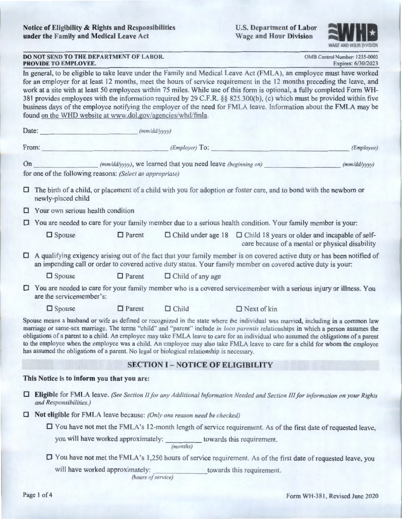

**DOMB Control Number: 1235-0003**<br>**Expires: 6/30/2023** 

| <b>DO NOT SEND TO THE DEPARTMENT OF LABOR.</b> | OMB Control Number: 1235-0003 |
|------------------------------------------------|-------------------------------|
| PROVIDE TO EMPLOYEE.                           | Expires: 6/30/2023            |

In general, to be eligible to take leave under the Family and Medical Leave Act (FMLA), an employee must have worked for an employer for at least 12 months, meet the hours of service requirement in the 12 months preceding the leave, and work at a site with at least 50 employees within 75 miles. While use of this form is optional, a fully completed Form WH-381 provides employees with the information required by 29 C.F.R. §§ 825 .300(b), (c) which must be provided within five business days of the employee notifying the employer of the need for FMLA leave. Information about the FMLA may be found on the WHD website at www.dol.gov/agencies/whd/fmla.

| Date: | (mm/dd/yyyy) |
|-------|--------------|

|                                          | From:                                                                                                                                                                                                                                          |               | (Employer) To:                                                                             |                                                                                                                                                                                                                                                                                                                                                                                                                                                                                                                                                  | (Employee)   |  |  |  |
|------------------------------------------|------------------------------------------------------------------------------------------------------------------------------------------------------------------------------------------------------------------------------------------------|---------------|--------------------------------------------------------------------------------------------|--------------------------------------------------------------------------------------------------------------------------------------------------------------------------------------------------------------------------------------------------------------------------------------------------------------------------------------------------------------------------------------------------------------------------------------------------------------------------------------------------------------------------------------------------|--------------|--|--|--|
| On                                       | for one of the following reasons: (Select as appropriate)                                                                                                                                                                                      |               | (mm/dd/yyyy), we learned that you need leave (beginning on)                                |                                                                                                                                                                                                                                                                                                                                                                                                                                                                                                                                                  | (mm/dd/yyyy) |  |  |  |
| □                                        | The birth of a child, or placement of a child with you for adoption or foster care, and to bond with the newborn or<br>newly-placed child                                                                                                      |               |                                                                                            |                                                                                                                                                                                                                                                                                                                                                                                                                                                                                                                                                  |              |  |  |  |
|                                          | $\Box$ Your own serious health condition                                                                                                                                                                                                       |               |                                                                                            |                                                                                                                                                                                                                                                                                                                                                                                                                                                                                                                                                  |              |  |  |  |
|                                          | $\Box$ You are needed to care for your family member due to a serious health condition. Your family member is your:                                                                                                                            |               |                                                                                            |                                                                                                                                                                                                                                                                                                                                                                                                                                                                                                                                                  |              |  |  |  |
|                                          | $\Box$ Spouse                                                                                                                                                                                                                                  | $\Box$ Parent |                                                                                            | $\Box$ Child under age 18 $\Box$ Child 18 years or older and incapable of self-<br>care because of a mental or physical disability                                                                                                                                                                                                                                                                                                                                                                                                               |              |  |  |  |
|                                          | $\Box$ A qualifying exigency arising out of the fact that your family member is on covered active duty or has been notified of<br>an impending call or order to covered active duty status. Your family member on covered active duty is your: |               |                                                                                            |                                                                                                                                                                                                                                                                                                                                                                                                                                                                                                                                                  |              |  |  |  |
|                                          | $\Box$ Spouse                                                                                                                                                                                                                                  | $\Box$ Parent | $\Box$ Child of any age                                                                    |                                                                                                                                                                                                                                                                                                                                                                                                                                                                                                                                                  |              |  |  |  |
|                                          | $\Box$ You are needed to care for your family member who is a covered servicemember with a serious injury or illness. You<br>are the servicemember's:                                                                                          |               |                                                                                            |                                                                                                                                                                                                                                                                                                                                                                                                                                                                                                                                                  |              |  |  |  |
|                                          | $\Box$ Spouse                                                                                                                                                                                                                                  | $\Box$ Parent | $\Box$ Child                                                                               | $\Box$ Next of kin                                                                                                                                                                                                                                                                                                                                                                                                                                                                                                                               |              |  |  |  |
|                                          |                                                                                                                                                                                                                                                |               | has assumed the obligations of a parent. No legal or biological relationship is necessary. | Spouse means a husband or wife as defined or recognized in the state where the individual was married, including in a common law<br>marriage or same-sex marriage. The terms "child" and "parent" include in loco parentis relationships in which a person assumes the<br>obligations of a parent to a child. An employee may take FMLA leave to care for an individual who assumed the obligations of a parent<br>to the employee when the employee was a child. An employee may also take FMLA leave to care for a child for whom the employee |              |  |  |  |
| <b>SECTION I - NOTICE OF ELIGIBILITY</b> |                                                                                                                                                                                                                                                |               |                                                                                            |                                                                                                                                                                                                                                                                                                                                                                                                                                                                                                                                                  |              |  |  |  |
|                                          | This Notice is to inform you that you are:                                                                                                                                                                                                     |               |                                                                                            |                                                                                                                                                                                                                                                                                                                                                                                                                                                                                                                                                  |              |  |  |  |
| □                                        | <b>Eligible</b> for FMLA leave. (See Section II for any Additional Information Needed and Section III for information on your Rights<br>and Responsibilities.)                                                                                 |               |                                                                                            |                                                                                                                                                                                                                                                                                                                                                                                                                                                                                                                                                  |              |  |  |  |
| □                                        |                                                                                                                                                                                                                                                |               |                                                                                            |                                                                                                                                                                                                                                                                                                                                                                                                                                                                                                                                                  |              |  |  |  |
|                                          | $\Box$ You have not met the FMLA's 12-month length of service requirement. As of the first date of requested leave,                                                                                                                            |               |                                                                                            |                                                                                                                                                                                                                                                                                                                                                                                                                                                                                                                                                  |              |  |  |  |

you will have worked approximately: towards this requirement. *(months)* 

D You have not met the FMLA 's 1,250 hours of service requirement. As of the first date of requested leave, you

will have worked approximately: towards this requirement.

*(hours of service)*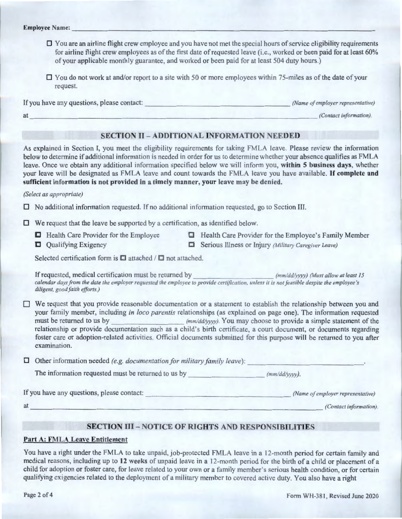- $\Box$  You are an airline flight crew employee and you have not met the special hours of service eligibility requirements for airline flight crew employees as of the first date of requested leave (i.e., worked or been paid for at least 60% of your applicable monthly guarantee, and worked or been paid for at least 504 duty hours.)
- $\Box$  You do not work at and/or report to a site with 50 or more employees within 75-miles as of the date of your request.

If you have any questions, please contact:  $\qquad \qquad$  *(Name of employer representative) at \_\_\_\_\_\_\_\_\_\_\_\_\_\_\_\_\_\_\_\_\_ \_ \_\_\_\_\_\_\_\_\_\_\_\_\_\_\_\_ (Contact information).* 

#### **SECTION** II - **ADDITIONAL INFORMATION NEEDED**

As explained in Section I, you meet the eligibility requirements for taking FMLA leave. Please review the information below to determine if additional information is needed in order for us to determine whether your absence qualifies as FMLA leave. Once we obtain any additional information specified below we will inform you, **within 5 business days,** whether your leave will be designated as FMLA leave and count towards the FMLA leave you have available. **If complete and sufficient information is not provided in a timely manner, your leave may be denied.** 

*(Select as appropriate)* 

D No additional information requested. If no additional information requested, go to Section III.

 $\Box$  We request that the leave be supported by a certification, as identified below.

- 
- **C** Qualifying Exigency
- Health Care Provider for the Employee Health Care Provider for the Employee's Family Member
	- **Cl** Serious Illness or Injury *(Military Caregiver Leave)*

Selected certification form is  $\Box$  attached /  $\Box$  not attached.

If requested, medical certification must be returned by *(mm/dd/yyyy) (Must allow at least 15 calendar days from the date the employer requested the employee to provide certification, unless it is not feasible despite the employee's diligent, good faith efforts.)* 

- $\Box$  We request that you provide reasonable documentation or a statement to establish the relationship between you and your family member, including *in loco parentis* relationships (as explained on page one). The information requested must be returned to us by *(mm/dd/yyyy)*. You may choose to provide a simple statement of the relationship or provide documentation such as a child's birth certificate, a court document, or documents regarding foster care or adoption-related activities. Official documents submitted for this purpose will be returned to you after examination.
- $\Box$  Other information needed *(e.g. documentation for military family leave):*

The information requested must be returned to us by  $(mm/dd/vvv)$ .

If you have any questions, please contact: \_ \_ \_\_\_\_\_\_\_\_\_\_\_\_\_\_ \_\_\_ *(Name of employer representative)* 

# at \_\_\_\_\_\_\_\_\_\_\_\_\_\_\_\_\_\_\_\_\_\_ \_\_\_\_\_\_\_\_\_\_\_\_\_\_\_\_\_ *(Contact information).*

# **SECTION** III - **NOTICE OF RIGHTS AND RESPONSIBILITIES**

#### **Part A: FMLA Leave Entitlement**

You have a right under the FMLA to take unpaid, job-protected FMLA leave in a 12-month period for certain family and medical reasons, including up to **12 weeks** of unpaid leave in a 12-month period for the birth of a child or placement of a child for adoption or foster care, for leave related to your own or a fami ly member's serious health condition, or for certain qualifying exigencies related to the deployment of a mil itary member to covered active duty. You also have a right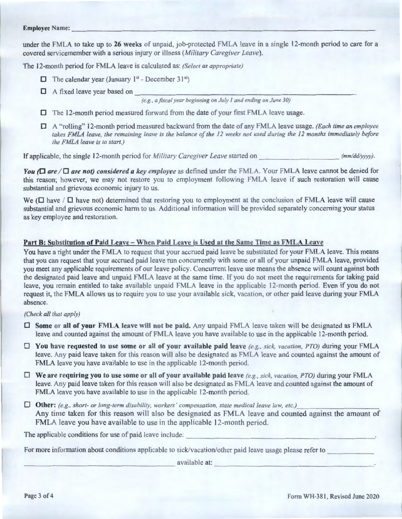# **Employee ame:** ---------------------------------------

under the FMLA to take up to **26 weeks** of unpaid, job-protected FMLA leave in a single 12-month period to care for a covered servicemember with a serious injury or illness *(Military Caregiver Leave)*.

The 12-month period for FMLA leave is calculated as: *(Select as appropriate)* 

- $\Box$  The calendar year (January 1<sup>st</sup> December 31<sup>st</sup>)
- 

D A fixed leave year based on---------------------------- *(e.g., a fiscal year beginning on July I and ending on June 30)* 

- D The 12-month period measured forward from the date of your first FMLA leave usage.
- D A "rolling" 12-month period measured backward from the date of any FMLA leave usage. *(Each time an employee takes FMLA leave, the remaining leave* is *the balance of the 12 weeks not used during the 12 months immediately before the FMLA leave is to start.)*

If applicable, the single 12-month period for *Military Caregiver Leave* started on  $\frac{(mm/dd/yyyy)}{mmdd/yyyy)}$ .

*You*  $\Box$  *are*  $\Box$  *are not) considered a key employee* as defined under the FMLA. Your FMLA leave cannot be denied for this reason; however, we may not restore you to employment following FMLA leave if such restoration will cause substantial and grievous economic injury to us.

We ( $\Box$  have /  $\Box$  have not) determined that restoring you to employment at the conclusion of FMLA leave will cause substantial and grievous economic harm to us. Additional information will be provided separately concerning your status as key employee and restoration.

## Part B: Substitution of Paid Leave - When Paid Leave is Used at the Same Time as FMLA Leave

You have a right under the FMLA to request that your accrued paid leave be substituted for your FMLA leave. This means that you can request that your accrued paid leave run concurrently with some or all of your unpaid FMLA leave, provided you meet any applicable requirements of our leave policy. Concurrent leave use means the absence will count against both the designated paid leave and unpaid FMLA leave at the same time. If you do not meet the requirements for taking paid leave, you remain entitled to take available unpaid FMLA leave in the applicable 12-month period. Even if you do not request it, the FMLA allows us to require you to use your available sick, vacation, or other paid leave during your FMLA absence.

## *(Check all that apply)*

- D **Some or all of your FMLA leave will not be paid.** Any unpaid FMLA leave taken will be designated as FMLA leave and counted against the amount of FMLA leave you have available to use in the applicable 12-month period.
- $\Box$  You have requested to use some or all of your available paid leave  $(e.g., sick, vacation, PTO)$  during your FMLA leave. Any paid leave taken for this reason will also be designated as FMLA leave and counted against the amount of FMLA leave you have available to use in the applicable 12-month period.
- $\Box$  We are requiring you to use some or all of your available paid leave (e.g., sick, vacation, PTO) during your FMLA leave. Any paid leave taken for this reason will also be designated as FMLA leave and counted against the amount of FMLA leave you have available to use in the applicable 12-month period.
- $\Box$  Other: (e.g., short- or long-term disability, workers' compensation, state medical leave law, etc.) Any time taken for this reason will also be designated as FMLA leave and counted against the amount of FMLA leave you have available to use in the applicable 12-month period.

The applicable conditions for use of paid leave include:

For more information about conditions applicable to sick/vacation/other paid leave usage please refer to \_\_\_\_\_\_\_\_ available at: